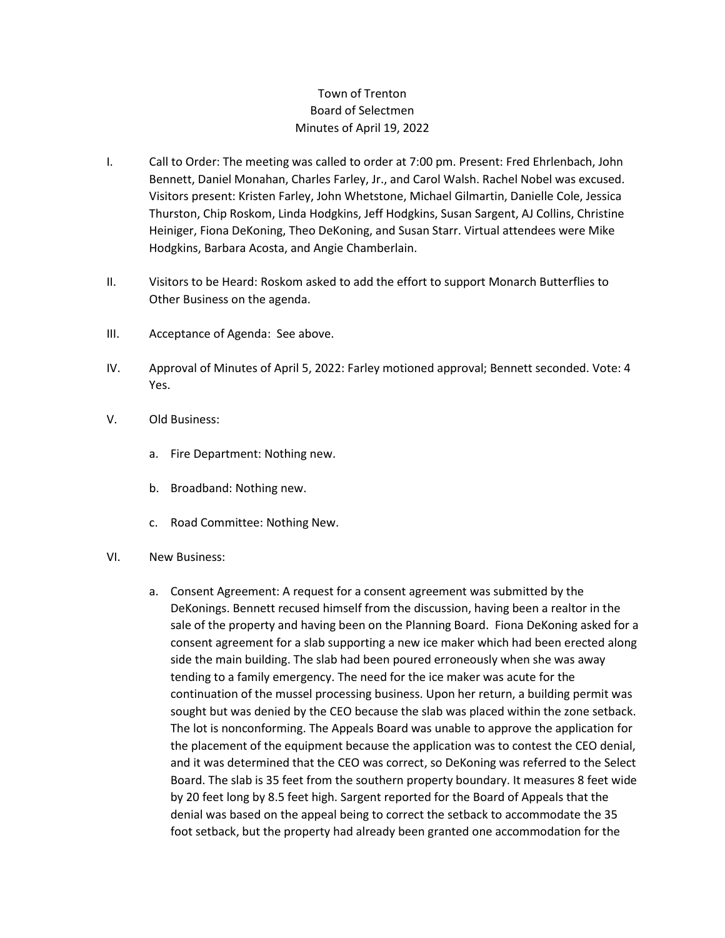## Town of Trenton Board of Selectmen Minutes of April 19, 2022

- I. Call to Order: The meeting was called to order at 7:00 pm. Present: Fred Ehrlenbach, John Bennett, Daniel Monahan, Charles Farley, Jr., and Carol Walsh. Rachel Nobel was excused. Visitors present: Kristen Farley, John Whetstone, Michael Gilmartin, Danielle Cole, Jessica Thurston, Chip Roskom, Linda Hodgkins, Jeff Hodgkins, Susan Sargent, AJ Collins, Christine Heiniger, Fiona DeKoning, Theo DeKoning, and Susan Starr. Virtual attendees were Mike Hodgkins, Barbara Acosta, and Angie Chamberlain.
- II. Visitors to be Heard: Roskom asked to add the effort to support Monarch Butterflies to Other Business on the agenda.
- III. Acceptance of Agenda: See above.
- IV. Approval of Minutes of April 5, 2022: Farley motioned approval; Bennett seconded. Vote: 4 Yes.
- V. Old Business:
	- a. Fire Department: Nothing new.
	- b. Broadband: Nothing new.
	- c. Road Committee: Nothing New.
- VI. New Business:
	- a. Consent Agreement: A request for a consent agreement was submitted by the DeKonings. Bennett recused himself from the discussion, having been a realtor in the sale of the property and having been on the Planning Board. Fiona DeKoning asked for a consent agreement for a slab supporting a new ice maker which had been erected along side the main building. The slab had been poured erroneously when she was away tending to a family emergency. The need for the ice maker was acute for the continuation of the mussel processing business. Upon her return, a building permit was sought but was denied by the CEO because the slab was placed within the zone setback. The lot is nonconforming. The Appeals Board was unable to approve the application for the placement of the equipment because the application was to contest the CEO denial, and it was determined that the CEO was correct, so DeKoning was referred to the Select Board. The slab is 35 feet from the southern property boundary. It measures 8 feet wide by 20 feet long by 8.5 feet high. Sargent reported for the Board of Appeals that the denial was based on the appeal being to correct the setback to accommodate the 35 foot setback, but the property had already been granted one accommodation for the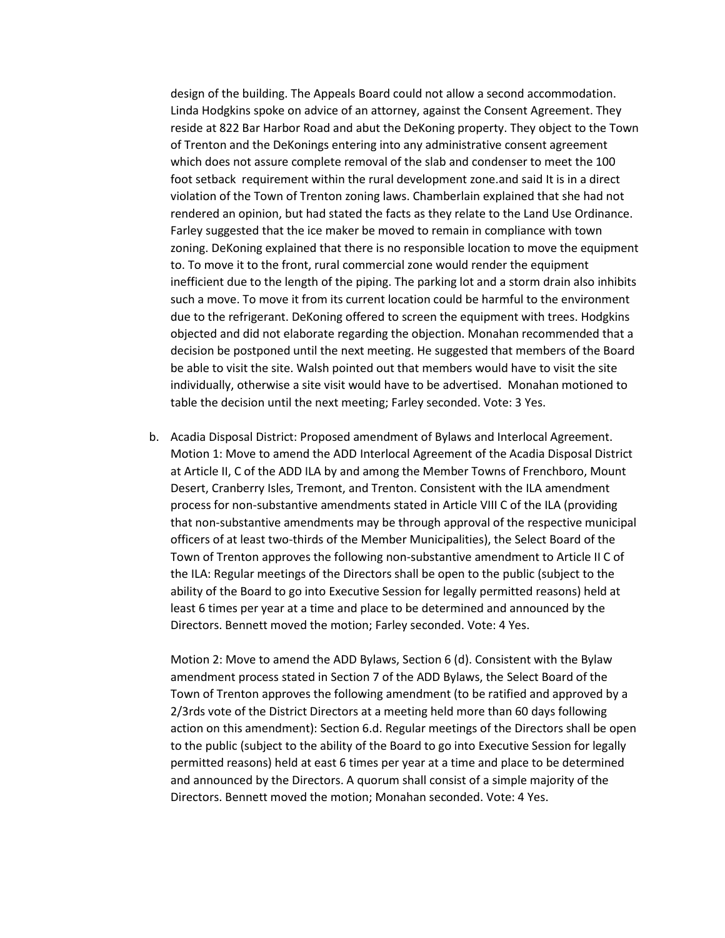design of the building. The Appeals Board could not allow a second accommodation. Linda Hodgkins spoke on advice of an attorney, against the Consent Agreement. They reside at 822 Bar Harbor Road and abut the DeKoning property. They object to the Town of Trenton and the DeKonings entering into any administrative consent agreement which does not assure complete removal of the slab and condenser to meet the 100 foot setback requirement within the rural development zone.and said It is in a direct violation of the Town of Trenton zoning laws. Chamberlain explained that she had not rendered an opinion, but had stated the facts as they relate to the Land Use Ordinance. Farley suggested that the ice maker be moved to remain in compliance with town zoning. DeKoning explained that there is no responsible location to move the equipment to. To move it to the front, rural commercial zone would render the equipment inefficient due to the length of the piping. The parking lot and a storm drain also inhibits such a move. To move it from its current location could be harmful to the environment due to the refrigerant. DeKoning offered to screen the equipment with trees. Hodgkins objected and did not elaborate regarding the objection. Monahan recommended that a decision be postponed until the next meeting. He suggested that members of the Board be able to visit the site. Walsh pointed out that members would have to visit the site individually, otherwise a site visit would have to be advertised. Monahan motioned to table the decision until the next meeting; Farley seconded. Vote: 3 Yes.

b. Acadia Disposal District: Proposed amendment of Bylaws and Interlocal Agreement. Motion 1: Move to amend the ADD Interlocal Agreement of the Acadia Disposal District at Article II, C of the ADD ILA by and among the Member Towns of Frenchboro, Mount Desert, Cranberry Isles, Tremont, and Trenton. Consistent with the ILA amendment process for non-substantive amendments stated in Article VIII C of the ILA (providing that non-substantive amendments may be through approval of the respective municipal officers of at least two-thirds of the Member Municipalities), the Select Board of the Town of Trenton approves the following non-substantive amendment to Article II C of the ILA: Regular meetings of the Directors shall be open to the public (subject to the ability of the Board to go into Executive Session for legally permitted reasons) held at least 6 times per year at a time and place to be determined and announced by the Directors. Bennett moved the motion; Farley seconded. Vote: 4 Yes.

Motion 2: Move to amend the ADD Bylaws, Section 6 (d). Consistent with the Bylaw amendment process stated in Section 7 of the ADD Bylaws, the Select Board of the Town of Trenton approves the following amendment (to be ratified and approved by a 2/3rds vote of the District Directors at a meeting held more than 60 days following action on this amendment): Section 6.d. Regular meetings of the Directors shall be open to the public (subject to the ability of the Board to go into Executive Session for legally permitted reasons) held at east 6 times per year at a time and place to be determined and announced by the Directors. A quorum shall consist of a simple majority of the Directors. Bennett moved the motion; Monahan seconded. Vote: 4 Yes.